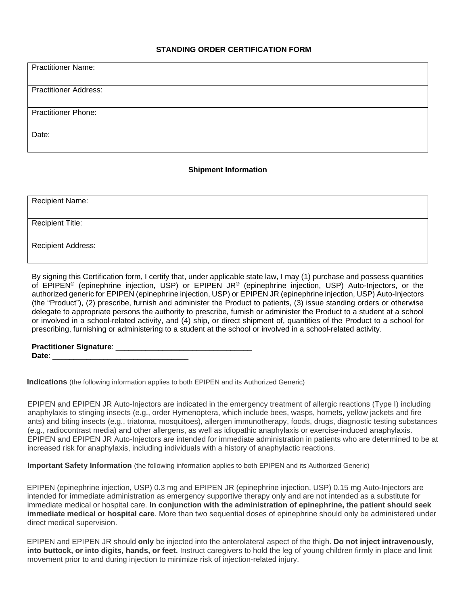## **STANDING ORDER CERTIFICATION FORM**

| <b>Practitioner Name:</b>    |
|------------------------------|
|                              |
|                              |
|                              |
| <b>Practitioner Address:</b> |
|                              |
|                              |
|                              |
|                              |
| <b>Practitioner Phone:</b>   |
|                              |
|                              |
|                              |
| Date:                        |
|                              |
|                              |
|                              |

## **Shipment Information**

| <b>Recipient Name:</b>    |  |
|---------------------------|--|
|                           |  |
| <b>Recipient Title:</b>   |  |
|                           |  |
| <b>Recipient Address:</b> |  |
|                           |  |
|                           |  |

By signing this Certification form, I certify that, under applicable state law, I may (1) purchase and possess quantities of EPIPEN® (epinephrine injection, USP) or EPIPEN JR® (epinephrine injection, USP) Auto-Injectors, or the authorized generic for EPIPEN (epinephrine injection, USP) or EPIPEN JR (epinephrine injection, USP) Auto-Injectors (the "Product"), (2) prescribe, furnish and administer the Product to patients, (3) issue standing orders or otherwise delegate to appropriate persons the authority to prescribe, furnish or administer the Product to a student at a school or involved in a school-related activity, and (4) ship, or direct shipment of, quantities of the Product to a school for prescribing, furnishing or administering to a student at the school or involved in a school-related activity.

| <b>Practitioner Signature:</b> |  |
|--------------------------------|--|
| Date:                          |  |

**Indications** (the following information applies to both EPIPEN and its Authorized Generic)

EPIPEN and EPIPEN JR Auto-Injectors are indicated in the emergency treatment of allergic reactions (Type I) including anaphylaxis to stinging insects (e.g., order Hymenoptera, which include bees, wasps, hornets, yellow jackets and fire ants) and biting insects (e.g., triatoma, mosquitoes), allergen immunotherapy, foods, drugs, diagnostic testing substances (e.g., radiocontrast media) and other allergens, as well as idiopathic anaphylaxis or exercise-induced anaphylaxis. EPIPEN and EPIPEN JR Auto-Injectors are intended for immediate administration in patients who are determined to be at increased risk for anaphylaxis, including individuals with a history of anaphylactic reactions.

**Important Safety Information** (the following information applies to both EPIPEN and its Authorized Generic)

EPIPEN (epinephrine injection, USP) 0.3 mg and EPIPEN JR (epinephrine injection, USP) 0.15 mg Auto-Injectors are intended for immediate administration as emergency supportive therapy only and are not intended as a substitute for immediate medical or hospital care. **In conjunction with the administration of epinephrine, the patient should seek immediate medical or hospital care**. More than two sequential doses of epinephrine should only be administered under direct medical supervision.

EPIPEN and EPIPEN JR should **only** be injected into the anterolateral aspect of the thigh. **Do not inject intravenously, into buttock, or into digits, hands, or feet.** Instruct caregivers to hold the leg of young children firmly in place and limit movement prior to and during injection to minimize risk of injection-related injury.